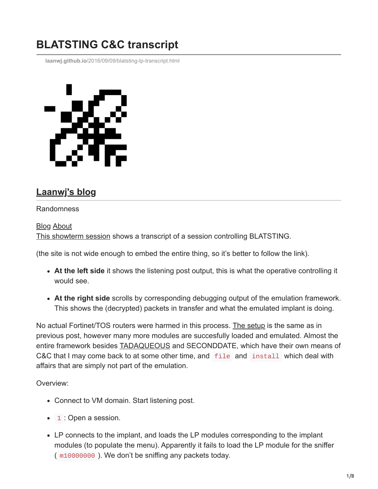## **BLATSTING C&C transcript**

**laanwj.github.io**[/2016/09/09/blatsting-lp-transcript.html](https://laanwj.github.io/2016/09/09/blatsting-lp-transcript.html)



## **[Laanwj's blog](https://laanwj.github.io/)**

## Randomness

[Blog](https://laanwj.github.io/) [About](https://laanwj.github.io/about)

[This showterm session](https://showterm.io/3837223140f380a948392) shows a transcript of a session controlling BLATSTING.

(the site is not wide enough to embed the entire thing, so it's better to follow the link).

- **At the left side** it shows the listening post output, this is what the operative controlling it would see.
- **At the right side** scrolls by corresponding debugging output of the emulation framework. This shows the (decrypted) packets in transfer and what the emulated implant is doing.

No actual Fortinet/TOS routers were harmed in this process. [The setup](https://laanwj.github.io/2016/09/04/blatsting-command-and-control.html) is the same as in previous post, however many more modules are succesfully loaded and emulated. Almost the entire framework besides **TADAQUEOUS** and SECONDDATE, which have their own means of C&C that I may come back to at some other time, and file and install which deal with affairs that are simply not part of the emulation.

Overview:

- Connect to VM domain. Start listening post.
- 1 : Open a session.
- LP connects to the implant, and loads the LP modules corresponding to the implant modules (to populate the menu). Apparently it fails to load the LP module for the sniffer ( m10000000 ). We don't be sniffing any packets today.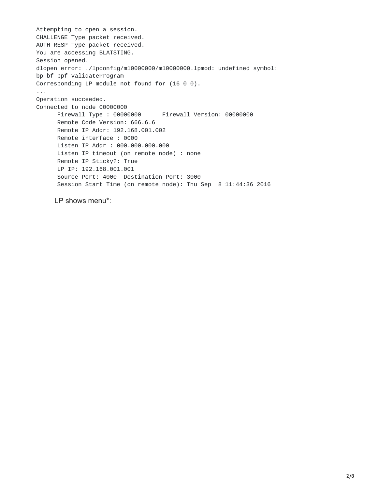Attempting to open a session. CHALLENGE Type packet received. AUTH\_RESP Type packet received. You are accessing BLATSTING. Session opened. dlopen error: ./lpconfig/m10000000/m10000000.lpmod: undefined symbol: bp\_bf\_bpf\_validateProgram Corresponding LP module not found for (16 0 0). ... Operation succeeded. Connected to node 00000000 Firewall Type : 00000000 Firewall Version: 00000000 Remote Code Version: 666.6.6 Remote IP Addr: 192.168.001.002 Remote interface : 0000 Listen IP Addr : 000.000.000.000 Listen IP timeout (on remote node) : none Remote IP Sticky?: True LP IP: 192.168.001.001 Source Port: 4000 Destination Port: 3000 Session Start Time (on remote node): Thu Sep 8 11:44:36 2016

LP shows menu\*: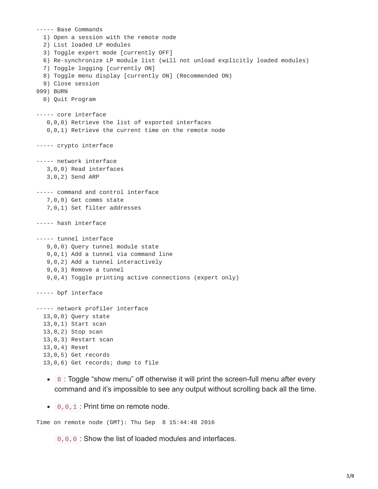```
----- Base Commands
  1) Open a session with the remote node
  2) List loaded LP modules
  3) Toggle expert mode [currently OFF]
  6) Re-synchronize LP module list (will not unload explicitly loaded modules)
  7) Toggle logging [currently ON]
  8) Toggle menu display [currently ON] (Recommended ON)
  9) Close session
999) BURN
  0) Quit Program
----- core interface
   0,0,0) Retrieve the list of exported interfaces
   0,0,1) Retrieve the current time on the remote node
----- crypto interface
----- network interface
   3,0,0) Read interfaces
   3,0,2) Send ARP
----- command and control interface
   7,0,0) Get comms state
   7,0,1) Set filter addresses
----- hash interface
----- tunnel interface
   9,0,0) Query tunnel module state
   9,0,1) Add a tunnel via command line
  9,0,2) Add a tunnel interactively
   9,0,3) Remove a tunnel
   9,0,4) Toggle printing active connections (expert only)
----- bpf interface
----- network profiler interface
  13,0,0) Query state
  13,0,1) Start scan
  13,0,2) Stop scan
  13,0,3) Restart scan
  13,0,4) Reset
  13,0,5) Get records
  13,0,6) Get records; dump to file
```
- 8 : Toggle "show menu" off otherwise it will print the screen-full menu after every command and it's impossible to see any output without scrolling back all the time.
- $\bullet$  0, 0, 1 : Print time on remote node.

Time on remote node (GMT): Thu Sep 8 15:44:48 2016

0, 0, 0 : Show the list of loaded modules and interfaces.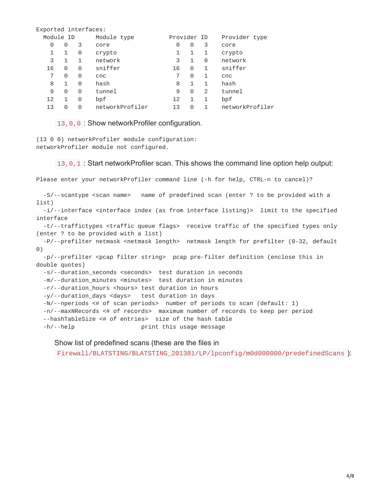| Exported interfaces: |   |   |                 |             |   |   |                 |
|----------------------|---|---|-----------------|-------------|---|---|-----------------|
| Module ID            |   |   | Module type     | Provider ID |   |   | Provider type   |
| 0                    | 0 | 3 | core            | 0           | 0 | 3 | core            |
| 1                    | 1 | 0 | crypto          | 1           | 1 | 1 | crypto          |
| 3                    | 1 | 1 | network         | 3           | 1 | 0 | network         |
| 16                   | 0 | 0 | sniffer         | 16          | 0 | 1 | sniffer         |
| 7                    | 0 | 0 | cnc             |             | 0 | 1 | cnc             |
| 8                    | 1 | 0 | hash            | 8           | 1 | 1 | hash            |
| 9                    | 0 | 0 | tunnel          | 9           | 0 | 2 | tunnel          |
| 12                   | 1 | 0 | bpf             | 12          | 1 | 1 | bpf             |
| 13                   | 0 | 0 | networkProfiler | 13          | 0 | 1 | networkProfiler |
|                      |   |   |                 |             |   |   |                 |

13,0,0 : Show networkProfiler configuration.

(13 0 0) networkProfiler module configuration: networkProfiler module not configured.

13,0,1 : Start networkProfiler scan. This shows the command line option help output:

Please enter your networkProfiler command line (-h for help, CTRL-n to cancel)?

-S/--scantype <scan name> name of predefined scan (enter ? to be provided with a list)

-i/--interface <interface index (as from interface listing)> limit to the specified interface

-t/--traffictypes <traffic queue flags> receive traffic of the specified types only (enter ? to be provided with a list)

-P/--prefilter netmask <netmask length> netmask length for prefilter (0-32, default 0)

-p/--prefilter <pcap filter string> pcap pre-filter definition (enclose this in double quotes)

-s/--duration\_seconds <seconds> test duration in seconds

-m/--duration\_minutes <minutes> test duration in minutes

-r/--duration\_hours <hours> test duration in hours

-y/--duration\_days <days> test duration in days

-N/--nperiods <# of scan periods> number of periods to scan (default: 1)

-n/--maxNRecords <# of records> maximum number of records to keep per period

--hashTableSize <# of entries> size of the hash table

-h/--help print this usage message

Show list of predefined scans (these are the files in

Firewall/BLATSTING/BLATSTING\_201381/LP/lpconfig/m0d000000/predefinedScans ):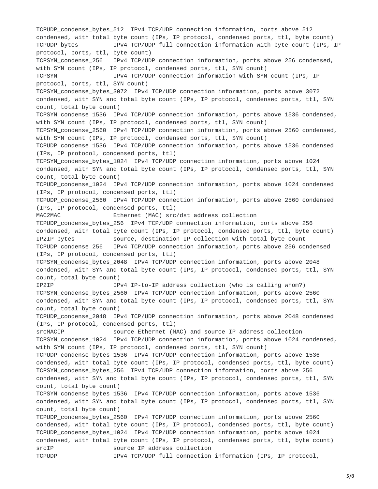TCPUDP\_condense\_bytes\_512 IPv4 TCP/UDP connection information, ports above 512 condensed, with total byte count (IPs, IP protocol, condensed ports, ttl, byte count) TCPUDP bytes IPv4 TCP/UDP full connection information with byte count (IPs, IP protocol, ports, ttl, byte count) TCPSYN\_condense\_256 IPv4 TCP/UDP connection information, ports above 256 condensed, with SYN count (IPs, IP protocol, condensed ports, ttl, SYN count) TCPSYN IPv4 TCP/UDP connection information with SYN count (IPs, IP protocol, ports, ttl, SYN count) TCPSYN\_condense\_bytes\_3072 IPv4 TCP/UDP connection information, ports above 3072 condensed, with SYN and total byte count (IPs, IP protocol, condensed ports, ttl, SYN count, total byte count) TCPSYN\_condense\_1536 IPv4 TCP/UDP connection information, ports above 1536 condensed, with SYN count (IPs, IP protocol, condensed ports, ttl, SYN count) TCPSYN\_condense\_2560 IPv4 TCP/UDP connection information, ports above 2560 condensed, with SYN count (IPs, IP protocol, condensed ports, ttl, SYN count) TCPUDP\_condense\_1536 IPv4 TCP/UDP connection information, ports above 1536 condensed (IPs, IP protocol, condensed ports, ttl) TCPSYN condense bytes 1024 IPv4 TCP/UDP connection information, ports above 1024 condensed, with SYN and total byte count (IPs, IP protocol, condensed ports, ttl, SYN count, total byte count) TCPUDP\_condense\_1024 IPv4 TCP/UDP connection information, ports above 1024 condensed (IPs, IP protocol, condensed ports, ttl) TCPUDP\_condense\_2560 IPv4 TCP/UDP connection information, ports above 2560 condensed (IPs, IP protocol, condensed ports, ttl) MAC2MAC Ethernet (MAC) src/dst address collection TCPUDP condense bytes 256 IPv4 TCP/UDP connection information, ports above 256 condensed, with total byte count (IPs, IP protocol, condensed ports, ttl, byte count) IP2IP\_bytes source, destination IP collection with total byte count TCPUDP condense 256 IPv4 TCP/UDP connection information, ports above 256 condensed (IPs, IP protocol, condensed ports, ttl) TCPSYN\_condense\_bytes\_2048 IPv4 TCP/UDP connection information, ports above 2048 condensed, with SYN and total byte count (IPs, IP protocol, condensed ports, ttl, SYN count, total byte count) IP2IP IPv4 IP-to-IP address collection (who is calling whom?) TCPSYN\_condense\_bytes\_2560 IPv4 TCP/UDP connection information, ports above 2560 condensed, with SYN and total byte count (IPs, IP protocol, condensed ports, ttl, SYN count, total byte count) TCPUDP\_condense\_2048 IPv4 TCP/UDP connection information, ports above 2048 condensed (IPs, IP protocol, condensed ports, ttl) srcMACIP source Ethernet (MAC) and source IP address collection TCPSYN\_condense\_1024 IPv4 TCP/UDP connection information, ports above 1024 condensed, with SYN count (IPs, IP protocol, condensed ports, ttl, SYN count) TCPUDP\_condense\_bytes\_1536 IPv4 TCP/UDP connection information, ports above 1536 condensed, with total byte count (IPs, IP protocol, condensed ports, ttl, byte count) TCPSYN\_condense\_bytes\_256 IPv4 TCP/UDP connection information, ports above 256 condensed, with SYN and total byte count (IPs, IP protocol, condensed ports, ttl, SYN count, total byte count) TCPSYN\_condense\_bytes\_1536 IPv4 TCP/UDP connection information, ports above 1536 condensed, with SYN and total byte count (IPs, IP protocol, condensed ports, ttl, SYN count, total byte count) TCPUDP\_condense\_bytes\_2560 IPv4 TCP/UDP connection information, ports above 2560 condensed, with total byte count (IPs, IP protocol, condensed ports, ttl, byte count) TCPUDP\_condense\_bytes\_1024 IPv4 TCP/UDP connection information, ports above 1024 condensed, with total byte count (IPs, IP protocol, condensed ports, ttl, byte count) srcIP source IP address collection TCPUDP IPv4 TCP/UDP full connection information (IPs, IP protocol,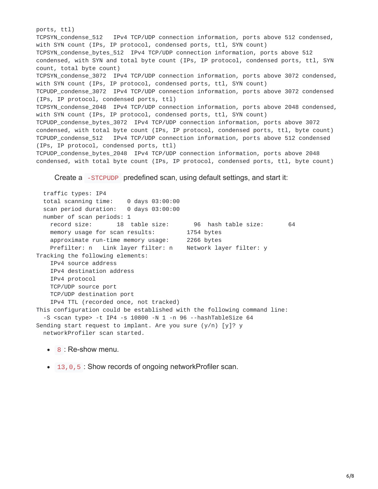ports, ttl) TCPSYN\_condense\_512 IPv4 TCP/UDP connection information, ports above 512 condensed, with SYN count (IPs, IP protocol, condensed ports, ttl, SYN count) TCPSYN\_condense\_bytes\_512 IPv4 TCP/UDP connection information, ports above 512 condensed, with SYN and total byte count (IPs, IP protocol, condensed ports, ttl, SYN count, total byte count) TCPSYN\_condense\_3072 IPv4 TCP/UDP connection information, ports above 3072 condensed, with SYN count (IPs, IP protocol, condensed ports, ttl, SYN count) TCPUDP\_condense\_3072 IPv4 TCP/UDP connection information, ports above 3072 condensed (IPs, IP protocol, condensed ports, ttl) TCPSYN\_condense\_2048 IPv4 TCP/UDP connection information, ports above 2048 condensed, with SYN count (IPs, IP protocol, condensed ports, ttl, SYN count) TCPUDP\_condense\_bytes\_3072 IPv4 TCP/UDP connection information, ports above 3072 condensed, with total byte count (IPs, IP protocol, condensed ports, ttl, byte count) TCPUDP\_condense\_512 IPv4 TCP/UDP connection information, ports above 512 condensed (IPs, IP protocol, condensed ports, ttl) TCPUDP\_condense\_bytes\_2048 IPv4 TCP/UDP connection information, ports above 2048 condensed, with total byte count (IPs, IP protocol, condensed ports, ttl, byte count)

Create a -STCPUDP predefined scan, using default settings, and start it:

traffic types: IP4 total scanning time: 0 days 03:00:00 scan period duration: 0 days 03:00:00 number of scan periods: 1 record size: 18 table size: 96 hash table size: 64 memory usage for scan results: 1754 bytes approximate run-time memory usage: 2266 bytes Prefilter: n Link layer filter: n Network layer filter: y Tracking the following elements: IPv4 source address IPv4 destination address IPv4 protocol TCP/UDP source port TCP/UDP destination port IPv4 TTL (recorded once, not tracked) This configuration could be established with the following command line: -S <scan type> -t IP4 -s 10800 -N 1 -n 96 --hashTableSize 64 Sending start request to implant. Are you sure (y/n) [y]? y networkProfiler scan started.

- 8 : Re-show menu.
- 13, 0, 5 : Show records of ongoing networkProfiler scan.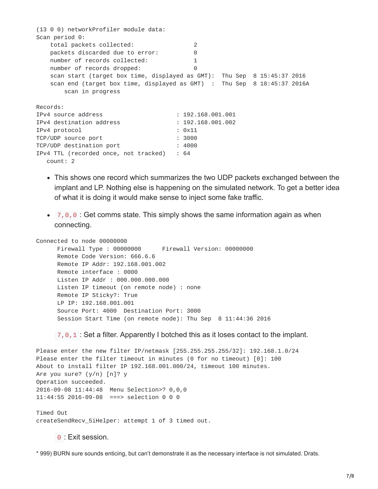(13 0 0) networkProfiler module data: Scan period 0: total packets collected: 2 packets discarded due to error: 0 number of records collected: 1 number of records dropped: 0 scan start (target box time, displayed as GMT): Thu Sep 8 15:45:37 2016 scan end (target box time, displayed as GMT) : Thu Sep 8 18:45:37 2016A scan in progress Records: IPv4 source address : 192.168.001.001 IPv4 destination address : 192.168.001.002 IPv4 protocol : 0x11 TCP/UDP source port : 3000 TCP/UDP destination port : 4000 IPv4 TTL (recorded once, not tracked) : 64 count: 2

- This shows one record which summarizes the two UDP packets exchanged between the implant and LP. Nothing else is happening on the simulated network. To get a better idea of what it is doing it would make sense to inject some fake traffic.
- $\bullet$  7,0,0 : Get comms state. This simply shows the same information again as when connecting.

Connected to node 00000000 Firewall Type : 00000000 Firewall Version: 00000000 Remote Code Version: 666.6.6 Remote IP Addr: 192.168.001.002 Remote interface : 0000 Listen IP Addr : 000.000.000.000 Listen IP timeout (on remote node) : none Remote IP Sticky?: True LP IP: 192.168.001.001 Source Port: 4000 Destination Port: 3000 Session Start Time (on remote node): Thu Sep 8 11:44:36 2016

7,0,1 : Set a filter. Apparently I botched this as it loses contact to the implant.

Please enter the new filter IP/netmask [255.255.255.255/32]: 192.168.1.0/24 Please enter the filter timeout in minutes (0 for no timeout) [0]: 100 About to install filter IP 192.168.001.000/24, timeout 100 minutes. Are you sure? (y/n) [n]? y Operation succeeded. 2016-09-08 11:44:48 Menu Selection>? 0,0,0 11:44:55 2016-09-08 ===> selection 0 0 0 Timed Out createSendRecv\_5iHelper: attempt 1 of 3 timed out.

0 : Exit session.

\* 999) BURN sure sounds enticing, but can't demonstrate it as the necessary interface is not simulated. Drats.